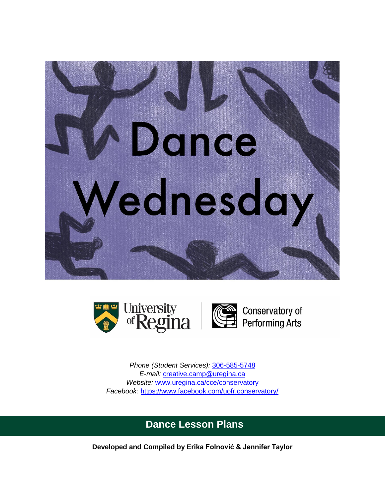





*Phone (Student Services):* [306-585-5748](tel:3065855748) *E-mail:* [creative.camp@uregina.ca](mailto:creative.camp@uregina.ca) *Website:* [www.uregina.ca/cce/conservatory](http://www.uregina.ca/cce/conservatory) *Facebook:* <https://www.facebook.com/uofr.conservatory/>

# **Dance Lesson Plans**

**Developed and Compiled by Erika Folnović & Jennifer Taylor**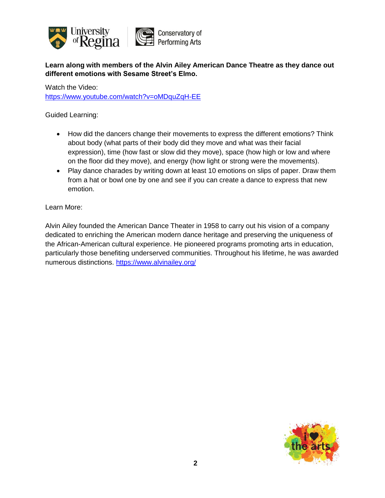

**Learn along with members of the Alvin Ailey American Dance Theatre as they dance out different emotions with Sesame Street's Elmo.**

Watch the Video: <https://www.youtube.com/watch?v=oMDquZqH-EE>

Guided Learning:

- How did the dancers change their movements to express the different emotions? Think about body (what parts of their body did they move and what was their facial expression), time (how fast or slow did they move), space (how high or low and where on the floor did they move), and energy (how light or strong were the movements).
- Play dance charades by writing down at least 10 emotions on slips of paper. Draw them from a hat or bowl one by one and see if you can create a dance to express that new emotion.

Learn More:

Alvin Ailey founded the American Dance Theater in 1958 to carry out his vision of a company dedicated to enriching the American modern dance heritage and preserving the uniqueness of the African-American cultural experience. He pioneered programs promoting arts in education, particularly those benefiting underserved communities. Throughout his lifetime, he was awarded numerous distinctions.<https://www.alvinailey.org/>

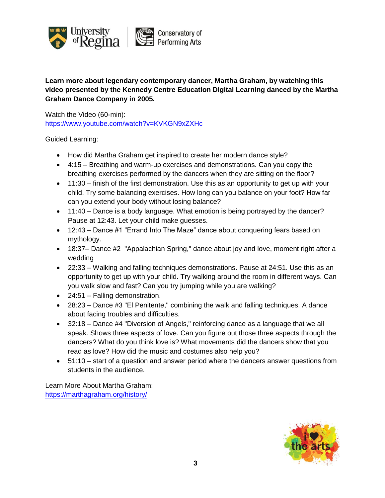

**Learn more about legendary contemporary dancer, Martha Graham, by watching this video presented by the Kennedy Centre Education Digital Learning danced by the Martha Graham Dance Company in 2005.**

Watch the Video (60-min): <https://www.youtube.com/watch?v=KVKGN9xZXHc>

Guided Learning:

- How did Martha Graham get inspired to create her modern dance style?
- 4:15 Breathing and warm-up exercises and demonstrations. Can you copy the breathing exercises performed by the dancers when they are sitting on the floor?
- 11:30 finish of the first demonstration. Use this as an opportunity to get up with your child. Try some balancing exercises. How long can you balance on your foot? How far can you extend your body without losing balance?
- 11:40 Dance is a body language. What emotion is being portrayed by the dancer? Pause at 12:43. Let your child make guesses.
- 12:43 Dance #1 "Errand Into The Maze" dance about conquering fears based on mythology.
- 18:37– Dance #2 "Appalachian Spring," dance about joy and love, moment right after a wedding
- 22:33 Walking and falling techniques demonstrations. Pause at 24:51. Use this as an opportunity to get up with your child. Try walking around the room in different ways. Can you walk slow and fast? Can you try jumping while you are walking?
- 24:51 Falling demonstration.
- 28:23 Dance #3 "El Penitente," combining the walk and falling techniques. A dance about facing troubles and difficulties.
- 32:18 Dance #4 "Diversion of Angels," reinforcing dance as a language that we all speak. Shows three aspects of love. Can you figure out those three aspects through the dancers? What do you think love is? What movements did the dancers show that you read as love? How did the music and costumes also help you?
- 51:10 start of a question and answer period where the dancers answer questions from students in the audience.

Learn More About Martha Graham: <https://marthagraham.org/history/>

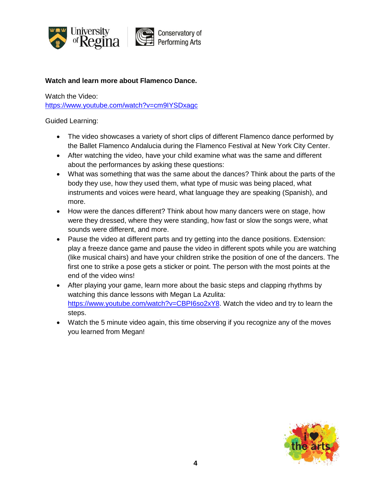

## **Watch and learn more about Flamenco Dance.**

Watch the Video:

<https://www.youtube.com/watch?v=cm9IYSDxagc>

- The video showcases a variety of short clips of different Flamenco dance performed by the Ballet Flamenco Andalucia during the Flamenco Festival at New York City Center.
- After watching the video, have your child examine what was the same and different about the performances by asking these questions:
- What was something that was the same about the dances? Think about the parts of the body they use, how they used them, what type of music was being placed, what instruments and voices were heard, what language they are speaking (Spanish), and more.
- How were the dances different? Think about how many dancers were on stage, how were they dressed, where they were standing, how fast or slow the songs were, what sounds were different, and more.
- Pause the video at different parts and try getting into the dance positions. Extension: play a freeze dance game and pause the video in different spots while you are watching (like musical chairs) and have your children strike the position of one of the dancers. The first one to strike a pose gets a sticker or point. The person with the most points at the end of the video wins!
- After playing your game, learn more about the basic steps and clapping rhythms by watching this dance lessons with Megan La Azulita: [https://www.youtube.com/watch?v=CBPI6so2xY8.](https://www.youtube.com/watch?v=CBPI6so2xY8) Watch the video and try to learn the steps.
- Watch the 5 minute video again, this time observing if you recognize any of the moves you learned from Megan!

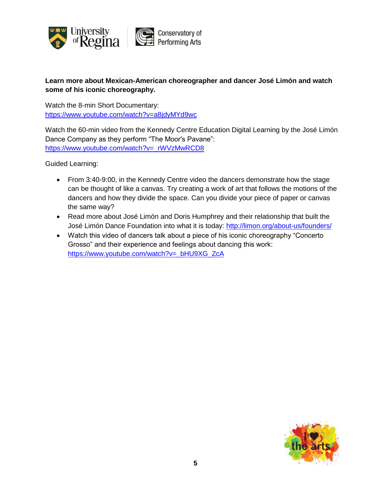

# **Learn more about Mexican-American choreographer and dancer José Limón and watch some of his iconic choreography.**

Watch the 8-min Short Documentary: <https://www.youtube.com/watch?v=a8jdyMYd9wc>

Watch the 60-min video from the Kennedy Centre Education Digital Learning by the José Limón Dance Company as they perform "The Moor's Pavane": [https://www.youtube.com/watch?v=\\_rWVzMwRCD8](https://www.youtube.com/watch?v=_rWVzMwRCD8)

- From 3:40-9:00, in the Kennedy Centre video the dancers demonstrate how the stage can be thought of like a canvas. Try creating a work of art that follows the motions of the dancers and how they divide the space. Can you divide your piece of paper or canvas the same way?
- Read more about José Limón and Doris Humphrey and their relationship that built the José Limón Dance Foundation into what it is today:<http://limon.org/about-us/founders/>
- Watch this video of dancers talk about a piece of his iconic choreography "Concerto Grosso" and their experience and feelings about dancing this work: [https://www.youtube.com/watch?v=\\_bHU9XG\\_ZcA](https://www.youtube.com/watch?v=_bHU9XG_ZcA)

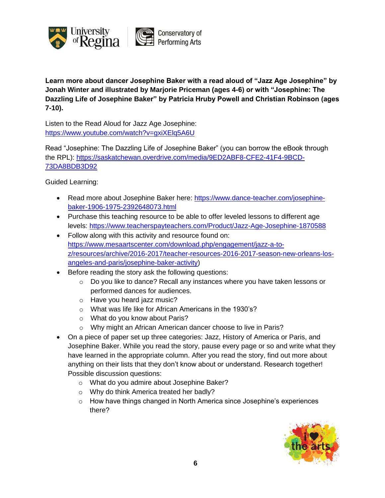

**Learn more about dancer Josephine Baker with a read aloud of "Jazz Age Josephine" by Jonah Winter and illustrated by Marjorie Priceman (ages 4-6) or with "Josephine: The Dazzling Life of Josephine Baker" by Patricia Hruby Powell and Christian Robinson (ages 7-10).**

Listen to the Read Aloud for Jazz Age Josephine: <https://www.youtube.com/watch?v=gxiXElq5A6U>

Read "Josephine: The Dazzling Life of Josephine Baker" (you can borrow the eBook through the RPL): [https://saskatchewan.overdrive.com/media/9ED2ABF8-CFE2-41F4-9BCD-](https://saskatchewan.overdrive.com/media/9ED2ABF8-CFE2-41F4-9BCD-73DA8BDB3D92)[73DA8BDB3D92](https://saskatchewan.overdrive.com/media/9ED2ABF8-CFE2-41F4-9BCD-73DA8BDB3D92)

- Read more about Josephine Baker here: [https://www.dance-teacher.com/josephine](https://www.dance-teacher.com/josephine-baker-1906-1975-2392648073.html)[baker-1906-1975-2392648073.html](https://www.dance-teacher.com/josephine-baker-1906-1975-2392648073.html)
- Purchase this teaching resource to be able to offer leveled lessons to different age levels: <https://www.teacherspayteachers.com/Product/Jazz-Age-Josephine-1870588>
- Follow along with this activity and resource found on: [https://www.mesaartscenter.com/download.php/engagement/jazz-a-to](https://www.mesaartscenter.com/download.php/engagement/jazz-a-to-z/resources/archive/2016-2017/teacher-resources-2016-2017-season-new-orleans-los-angeles-and-paris/josephine-baker-activity)[z/resources/archive/2016-2017/teacher-resources-2016-2017-season-new-orleans-los](https://www.mesaartscenter.com/download.php/engagement/jazz-a-to-z/resources/archive/2016-2017/teacher-resources-2016-2017-season-new-orleans-los-angeles-and-paris/josephine-baker-activity)[angeles-and-paris/josephine-baker-activity\)](https://www.mesaartscenter.com/download.php/engagement/jazz-a-to-z/resources/archive/2016-2017/teacher-resources-2016-2017-season-new-orleans-los-angeles-and-paris/josephine-baker-activity)
- Before reading the story ask the following questions:
	- $\circ$  Do you like to dance? Recall any instances where you have taken lessons or performed dances for audiences.
	- o Have you heard jazz music?
	- o What was life like for African Americans in the 1930's?
	- o What do you know about Paris?
	- o Why might an African American dancer choose to live in Paris?
- On a piece of paper set up three categories: Jazz, History of America or Paris, and Josephine Baker. While you read the story, pause every page or so and write what they have learned in the appropriate column. After you read the story, find out more about anything on their lists that they don't know about or understand. Research together! Possible discussion questions:
	- o What do you admire about Josephine Baker?
	- o Why do think America treated her badly?
	- o How have things changed in North America since Josephine's experiences there?

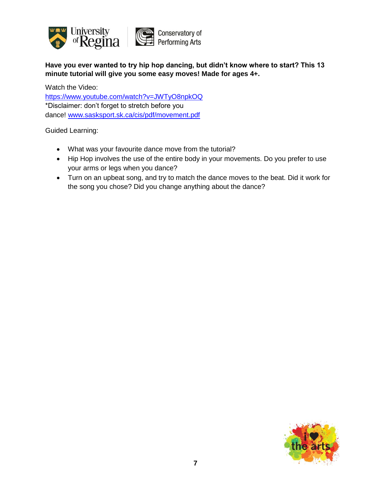

**Have you ever wanted to try hip hop dancing, but didn't know where to start? This 13 minute tutorial will give you some easy moves! Made for ages 4+.**

Watch the Video: [https://www.youtube.com/watch?v=JWTyO8npkOQ](https://l.facebook.com/l.php?u=https%3A%2F%2Fwww.youtube.com%2Fwatch%3Fv%3DJWTyO8npkOQ%26fbclid%3DIwAR3KFfhN07C7N95bjImwLCTXV0PJ1Ia4p48-xh2MzQcl4TC6CiKYukEX2Bg&h=AT1h7FwsXVTeyECs7M2qS9juFu2kADxsc0-vB7vBX_2Q1DvmZQmoJTjwzFroTUOxPyE-HHsUSV-8zKNUHzaIaTJ4KCyy4u-ADhhMfUc3KnW_XYByMap5ARhJ2TJtvMg-Tij1Q85Bw8Y9LS3aAZmbJaN_dVYW39vYr-eQ97Bw0vug8O_Qx-wnJoknCLIdqf0JOF0G1GPtcnmLsrR0OQ_B1mZRIpHamJwF2xQvy_QPlmeEJzemsLntTBlr4sqtHhUsqMe_C0k5NfG9Pm3o5ZAFvLjFFgWfF-5xujWPFX8ZntUEGfr8cj-3ZxD6_Pv8C1WAYpbLUqi2EtCqvVoBWZHsXJ-AE320WQM-9G3GSJGt36aDjTqOFHRt70rjEFDJCdHDLw5O7QNB9ZG9v7b_UdHkuWb919YZ-EXcBlBinKYw71jw716lAxlI_-4HgQDmdV9p7Va91qo2--fuII4KgdXZ-dCVOecyqsvUSD977WykVDWejEW-oeF5crisrJLY6j4RjfqpdFBZTHrFqufXAQe_ChEfA5_m4GWc-x8tw1Uhqc813xGwRq3LSda6Y3TYsKjOG6YFSRb4N8YqAgQRFtc_VTpe53a14ovj71ivLu6BnoYukfLlwXjfkz_XmPyy8i5K) \*Disclaimer: don't forget to stretch before you dance! [www.sasksport.sk.ca/cis/pdf/movement.pdf](http://www.sasksport.sk.ca/cis/pdf/movement.pdf?fbclid=IwAR1vBASql6vcZ6Ns33eqTNsFt6Q_sRHjL5XbdxOy-EpXIMHV4EpS-oFz97w)

- What was your favourite dance move from the tutorial?
- Hip Hop involves the use of the entire body in your movements. Do you prefer to use your arms or legs when you dance?
- Turn on an upbeat song, and try to match the dance moves to the beat. Did it work for the song you chose? Did you change anything about the dance?

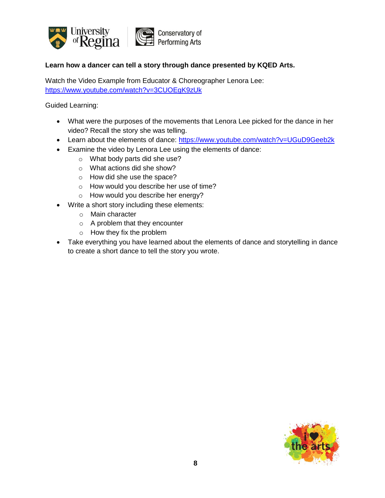

## **Learn how a dancer can tell a story through dance presented by KQED Arts.**

Watch the Video Example from Educator & Choreographer Lenora Lee: <https://www.youtube.com/watch?v=3CUOEgK9zUk>

- What were the purposes of the movements that Lenora Lee picked for the dance in her video? Recall the story she was telling.
- Learn about the elements of dance: <https://www.youtube.com/watch?v=UGuD9Geeb2k>
- Examine the video by Lenora Lee using the elements of dance:
	- o What body parts did she use?
	- o What actions did she show?
	- o How did she use the space?
	- o How would you describe her use of time?
	- o How would you describe her energy?
- Write a short story including these elements:
	- o Main character
	- o A problem that they encounter
	- o How they fix the problem
- Take everything you have learned about the elements of dance and storytelling in dance to create a short dance to tell the story you wrote.

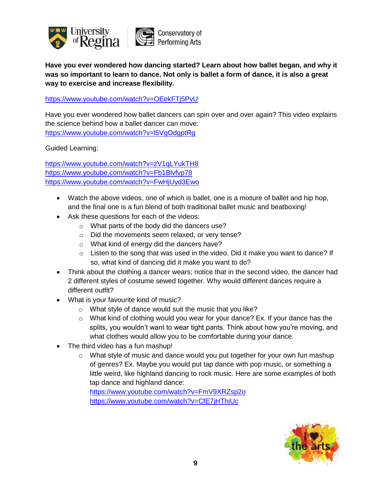

**Have you ever wondered how dancing started? Learn about how ballet began, and why it was so important to learn to dance. Not only is ballet a form of dance, it is also a great way to exercise and increase flexibility.**

<https://www.youtube.com/watch?v=OEekFTj5PvU>

Have you ever wondered how ballet dancers can spin over and over again? This video explains the science behind how a ballet dancer can move: <https://www.youtube.com/watch?v=l5VgOdgptRg>

Guided Learning:

<https://www.youtube.com/watch?v=zV1qLYukTH8> <https://www.youtube.com/watch?v=Fb1Blvfvp78> <https://www.youtube.com/watch?v=FwHjUyd3Ewo>

- Watch the above videos, one of which is ballet, one is a mixture of ballet and hip hop, and the final one is a fun blend of both traditional ballet music and beatboxing!
- Ask these questions for each of the videos:
	- o What parts of the body did the dancers use?
	- o Did the movements seem relaxed, or very tense?
	- o What kind of energy did the dancers have?
	- o Listen to the song that was used in the video. Did it make you want to dance? If so, what kind of dancing did it make you want to do?
- Think about the clothing a dancer wears; notice that in the second video, the dancer had 2 different styles of costume sewed together. Why would different dances require a different outfit?
- What is your favourite kind of music?
	- o What style of dance would suit the music that you like?
	- o What kind of clothing would you wear for your dance? Ex. If your dance has the splits, you wouldn't want to wear tight pants. Think about how you're moving, and what clothes would allow you to be comfortable during your dance.
- The third video has a fun mashup!
	- $\circ$  What style of music and dance would you put together for your own fun mashup of genres? Ex. Maybe you would put tap dance with pop music, or something a little weird, like highland dancing to rock music. Here are some examples of both tap dance and highland dance:

<https://www.youtube.com/watch?v=FmV9XRZsp2o> <https://www.youtube.com/watch?v=CfE7jHThiUc>

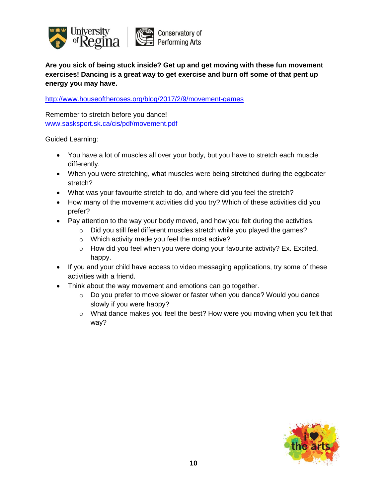

**Are you sick of being stuck inside? Get up and get moving with these fun movement exercises! Dancing is a great way to get exercise and burn off some of that pent up energy you may have.**

<http://www.houseoftheroses.org/blog/2017/2/9/movement-games>

Remember to stretch before you dance! [www.sasksport.sk.ca/cis/pdf/movement.pdf](http://www.sasksport.sk.ca/cis/pdf/movement.pdf)

- You have a lot of muscles all over your body, but you have to stretch each muscle differently.
- When you were stretching, what muscles were being stretched during the eggbeater stretch?
- What was your favourite stretch to do, and where did you feel the stretch?
- How many of the movement activities did you try? Which of these activities did you prefer?
- Pay attention to the way your body moved, and how you felt during the activities.
	- o Did you still feel different muscles stretch while you played the games?
	- o Which activity made you feel the most active?
	- $\circ$  How did you feel when you were doing your favourite activity? Ex. Excited, happy.
- If you and your child have access to video messaging applications, try some of these activities with a friend.
- Think about the way movement and emotions can go together.
	- $\circ$  Do you prefer to move slower or faster when you dance? Would you dance slowly if you were happy?
	- $\circ$  What dance makes you feel the best? How were you moving when you felt that way?

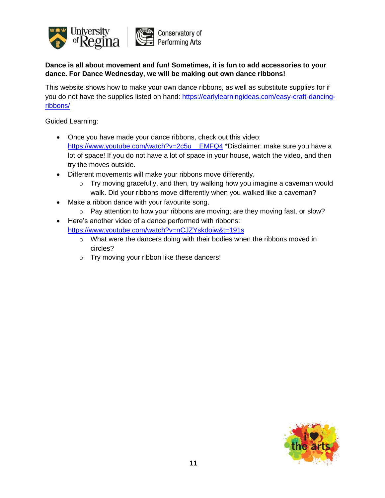

## **Dance is all about movement and fun! Sometimes, it is fun to add accessories to your dance. For Dance Wednesday, we will be making out own dance ribbons!**

This website shows how to make your own dance ribbons, as well as substitute supplies for if you do not have the supplies listed on hand: [https://earlylearningideas.com/easy-craft-dancing](https://earlylearningideas.com/easy-craft-dancing-ribbons/)[ribbons/](https://earlylearningideas.com/easy-craft-dancing-ribbons/)

- Once you have made your dance ribbons, check out this video: [https://www.youtube.com/watch?v=2c5u\\_\\_EMFQ4](https://www.youtube.com/watch?v=2c5u__EMFQ4) \*Disclaimer: make sure you have a lot of space! If you do not have a lot of space in your house, watch the video, and then try the moves outside.
- Different movements will make your ribbons move differently.
	- o Try moving gracefully, and then, try walking how you imagine a caveman would walk. Did your ribbons move differently when you walked like a caveman?
- Make a ribbon dance with your favourite song.
	- $\circ$  Pay attention to how your ribbons are moving; are they moving fast, or slow?
- Here's another video of a dance performed with ribbons: <https://www.youtube.com/watch?v=nCJZYskdoiw&t=191s>
	- $\circ$  What were the dancers doing with their bodies when the ribbons moved in circles?
	- o Try moving your ribbon like these dancers!

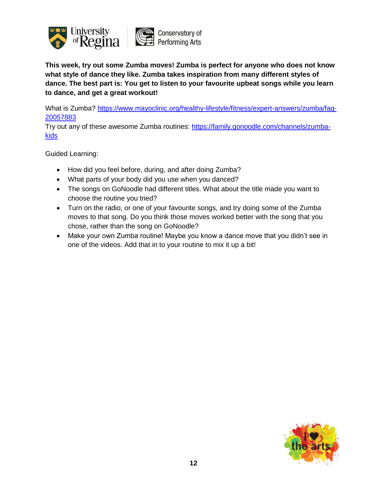

**This week, try out some Zumba moves! Zumba is perfect for anyone who does not know what style of dance they like. Zumba takes inspiration from many different styles of dance. The best part is: You get to listen to your favourite upbeat songs while you learn to dance, and get a great workout!**

What is Zumba? [https://www.mayoclinic.org/healthy-lifestyle/fitness/expert-answers/zumba/faq-](https://www.mayoclinic.org/healthy-lifestyle/fitness/expert-answers/zumba/faq-20057883)[20057883](https://www.mayoclinic.org/healthy-lifestyle/fitness/expert-answers/zumba/faq-20057883)

Try out any of these awesome Zumba routines: [https://family.gonoodle.com/channels/zumba](https://family.gonoodle.com/channels/zumba-kids)**[kids](https://family.gonoodle.com/channels/zumba-kids)** 

- How did you feel before, during, and after doing Zumba?
- What parts of your body did you use when you danced?
- The songs on GoNoodle had different titles. What about the title made you want to choose the routine you tried?
- Turn on the radio, or one of your favourite songs, and try doing some of the Zumba moves to that song. Do you think those moves worked better with the song that you chose, rather than the song on GoNoodle?
- Make your own Zumba routine! Maybe you know a dance move that you didn't see in one of the videos. Add that in to your routine to mix it up a bit!

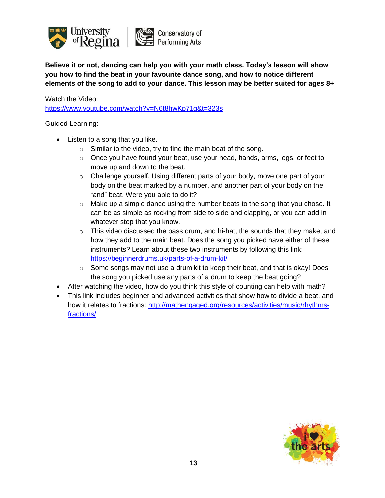

**Believe it or not, dancing can help you with your math class. Today's lesson will show you how to find the beat in your favourite dance song, and how to notice different elements of the song to add to your dance. This lesson may be better suited for ages 8+**

Watch the Video: <https://www.youtube.com/watch?v=N6t8hwKp71g&t=323s>

- Listen to a song that you like.
	- o Similar to the video, try to find the main beat of the song.
	- $\circ$  Once you have found your beat, use your head, hands, arms, legs, or feet to move up and down to the beat.
	- o Challenge yourself. Using different parts of your body, move one part of your body on the beat marked by a number, and another part of your body on the "and" beat. Were you able to do it?
	- $\circ$  Make up a simple dance using the number beats to the song that you chose. It can be as simple as rocking from side to side and clapping, or you can add in whatever step that you know.
	- $\circ$  This video discussed the bass drum, and hi-hat, the sounds that they make, and how they add to the main beat. Does the song you picked have either of these instruments? Learn about these two instruments by following this link: <https://beginnerdrums.uk/parts-of-a-drum-kit/>
	- $\circ$  Some songs may not use a drum kit to keep their beat, and that is okay! Does the song you picked use any parts of a drum to keep the beat going?
- After watching the video, how do you think this style of counting can help with math?
- This link includes beginner and advanced activities that show how to divide a beat, and how it relates to fractions: [http://mathengaged.org/resources/activities/music/rhythms](http://mathengaged.org/resources/activities/music/rhythms-fractions/)[fractions/](http://mathengaged.org/resources/activities/music/rhythms-fractions/)

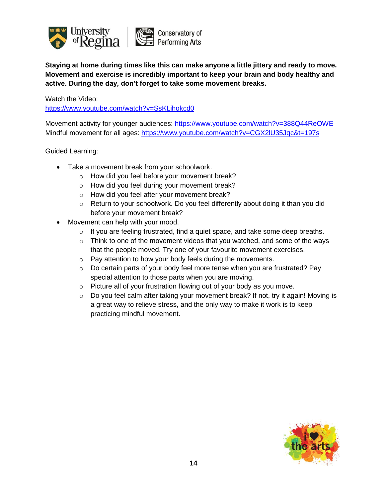

**Staying at home during times like this can make anyone a little jittery and ready to move. Movement and exercise is incredibly important to keep your brain and body healthy and active. During the day, don't forget to take some movement breaks.**

Watch the Video: <https://www.youtube.com/watch?v=SsKLihqkcd0>

Movement activity for younger audiences: <https://www.youtube.com/watch?v=388Q44ReOWE> Mindful movement for all ages: <https://www.youtube.com/watch?v=CGX2lU35Jqc&t=197s>

- Take a movement break from your schoolwork.
	- o How did you feel before your movement break?
	- o How did you feel during your movement break?
	- o How did you feel after your movement break?
	- o Return to your schoolwork. Do you feel differently about doing it than you did before your movement break?
- Movement can help with your mood.
	- o If you are feeling frustrated, find a quiet space, and take some deep breaths.
	- o Think to one of the movement videos that you watched, and some of the ways that the people moved. Try one of your favourite movement exercises.
	- o Pay attention to how your body feels during the movements.
	- $\circ$  Do certain parts of your body feel more tense when you are frustrated? Pay special attention to those parts when you are moving.
	- o Picture all of your frustration flowing out of your body as you move.
	- o Do you feel calm after taking your movement break? If not, try it again! Moving is a great way to relieve stress, and the only way to make it work is to keep practicing mindful movement.

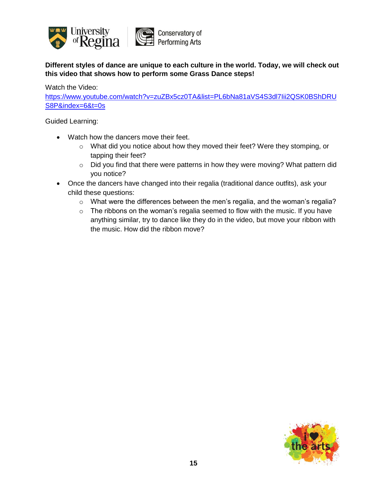

**Different styles of dance are unique to each culture in the world. Today, we will check out this video that shows how to perform some Grass Dance steps!**

Watch the Video:

[https://www.youtube.com/watch?v=zuZBx5cz0TA&list=PL6bNa81aVS4S3dl7Iii2QSK0BShDRU](https://www.youtube.com/watch?v=zuZBx5cz0TA&list=PL6bNa81aVS4S3dl7Iii2QSK0BShDRUS8P&index=6&t=0s) [S8P&index=6&t=0s](https://www.youtube.com/watch?v=zuZBx5cz0TA&list=PL6bNa81aVS4S3dl7Iii2QSK0BShDRUS8P&index=6&t=0s)

- Watch how the dancers move their feet.
	- o What did you notice about how they moved their feet? Were they stomping, or tapping their feet?
	- o Did you find that there were patterns in how they were moving? What pattern did you notice?
- Once the dancers have changed into their regalia (traditional dance outfits), ask your child these questions:
	- $\circ$  What were the differences between the men's regalia, and the woman's regalia?
	- $\circ$  The ribbons on the woman's regalia seemed to flow with the music. If you have anything similar, try to dance like they do in the video, but move your ribbon with the music. How did the ribbon move?

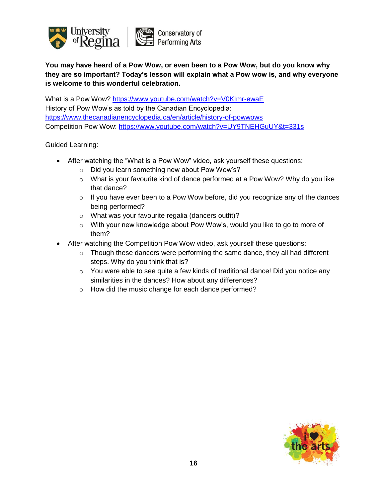

**You may have heard of a Pow Wow, or even been to a Pow Wow, but do you know why they are so important? Today's lesson will explain what a Pow wow is, and why everyone is welcome to this wonderful celebration.**

What is a Pow Wow? <https://www.youtube.com/watch?v=V0KImr-ewaE> History of Pow Wow's as told by the Canadian Encyclopedia: <https://www.thecanadianencyclopedia.ca/en/article/history-of-powwows> Competition Pow Wow:<https://www.youtube.com/watch?v=UY9TNEHGuUY&t=331s>

- After watching the "What is a Pow Wow" video, ask yourself these questions:
	- o Did you learn something new about Pow Wow's?
	- $\circ$  What is your favourite kind of dance performed at a Pow Wow? Why do you like that dance?
	- o If you have ever been to a Pow Wow before, did you recognize any of the dances being performed?
	- o What was your favourite regalia (dancers outfit)?
	- o With your new knowledge about Pow Wow's, would you like to go to more of them?
- After watching the Competition Pow Wow video, ask yourself these questions:
	- o Though these dancers were performing the same dance, they all had different steps. Why do you think that is?
	- $\circ$  You were able to see quite a few kinds of traditional dance! Did you notice any similarities in the dances? How about any differences?
	- o How did the music change for each dance performed?